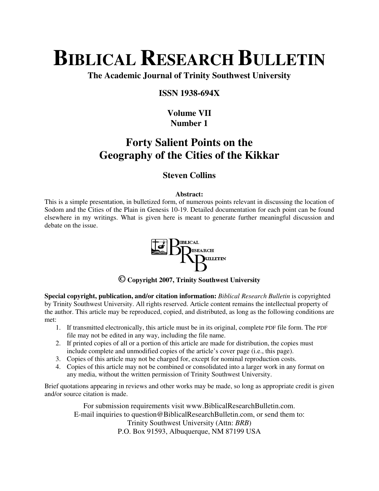# **BIBLICAL RESEARCH BULLETIN**

**The Academic Journal of Trinity Southwest University** 

### **ISSN 1938-694X**

# **Volume VII Number 1**

# **Forty Salient Points on the Geography of the Cities of the Kikkar**

# **Steven Collins**

#### **Abstract:**

This is a simple presentation, in bulletized form, of numerous points relevant in discussing the location of Sodom and the Cities of the Plain in Genesis 10-19. Detailed documentation for each point can be found elsewhere in my writings. What is given here is meant to generate further meaningful discussion and debate on the issue.



**© Copyright 2007, Trinity Southwest University** 

**Special copyright, publication, and/or citation information:** *Biblical Research Bulletin* is copyrighted by Trinity Southwest University. All rights reserved. Article content remains the intellectual property of the author. This article may be reproduced, copied, and distributed, as long as the following conditions are met:

- 1. If transmitted electronically, this article must be in its original, complete PDF file form. The PDF file may not be edited in any way, including the file name.
- 2. If printed copies of all or a portion of this article are made for distribution, the copies must include complete and unmodified copies of the article's cover page (i.e., this page).
- 3. Copies of this article may not be charged for, except for nominal reproduction costs.
- 4. Copies of this article may not be combined or consolidated into a larger work in any format on any media, without the written permission of Trinity Southwest University.

Brief quotations appearing in reviews and other works may be made, so long as appropriate credit is given and/or source citation is made.

For submission requirements visit www.BiblicalResearchBulletin.com. E-mail inquiries to question@BiblicalResearchBulletin.com, or send them to: Trinity Southwest University (Attn: *BRB*) P.O. Box 91593, Albuquerque, NM 87199 USA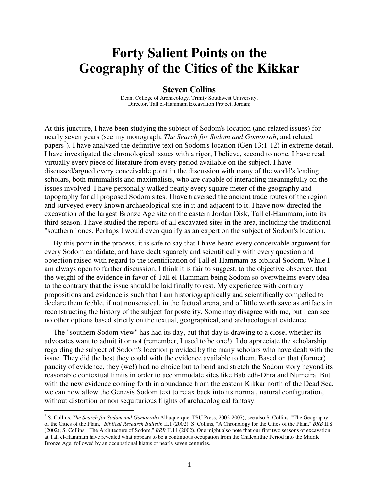# **Forty Salient Points on the Geography of the Cities of the Kikkar**

#### **Steven Collins**

Dean, College of Archaeology, Trinity Southwest University; Director, Tall el-Hammam Excavation Project, Jordan;

At this juncture, I have been studying the subject of Sodom's location (and related issues) for nearly seven years (see my monograph, *The Search for Sodom and Gomorrah*, and related papers<sup>\*</sup>). I have analyzed the definitive text on Sodom's location (Gen 13:1-12) in extreme detail. I have investigated the chronological issues with a rigor, I believe, second to none. I have read virtually every piece of literature from every period available on the subject. I have discussed/argued every conceivable point in the discussion with many of the world's leading scholars, both minimalists and maximalists, who are capable of interacting meaningfully on the issues involved. I have personally walked nearly every square meter of the geography and topography for all proposed Sodom sites. I have traversed the ancient trade routes of the region and surveyed every known archaeological site in it and adjacent to it. I have now directed the excavation of the largest Bronze Age site on the eastern Jordan Disk, Tall el-Hammam, into its third season. I have studied the reports of all excavated sites in the area, including the traditional "southern" ones. Perhaps I would even qualify as an expert on the subject of Sodom's location.

By this point in the process, it is safe to say that I have heard every conceivable argument for every Sodom candidate, and have dealt squarely and scientifically with every question and objection raised with regard to the identification of Tall el-Hammam as biblical Sodom. While I am always open to further discussion, I think it is fair to suggest, to the objective observer, that the weight of the evidence in favor of Tall el-Hammam being Sodom so overwhelms every idea to the contrary that the issue should be laid finally to rest. My experience with contrary propositions and evidence is such that I am historiographically and scientifically compelled to declare them feeble, if not nonsensical, in the factual arena, and of little worth save as artifacts in reconstructing the history of the subject for posterity. Some may disagree with me, but I can see no other options based strictly on the textual, geographical, and archaeological evidence.

The "southern Sodom view" has had its day, but that day is drawing to a close, whether its advocates want to admit it or not (remember, I used to be one!). I do appreciate the scholarship regarding the subject of Sodom's location provided by the many scholars who have dealt with the issue. They did the best they could with the evidence available to them. Based on that (former) paucity of evidence, they (we!) had no choice but to bend and stretch the Sodom story beyond its reasonable contextual limits in order to accommodate sites like Bab edh-Dhra and Numeira. But with the new evidence coming forth in abundance from the eastern Kikkar north of the Dead Sea, we can now allow the Genesis Sodom text to relax back into its normal, natural configuration, without distortion or non sequiturious flights of archaeological fantasy.

 $\overline{a}$ 

<sup>\*</sup> S. Collins, *The Search for Sodom and Gomorrah* (Albuquerque: TSU Press, 2002-2007); see also S. Collins, "The Geography of the Cities of the Plain," *Biblical Research Bulletin* II.1 (2002); S. Collins, "A Chronology for the Cities of the Plain," *BRB* II.8 (2002); S. Collins, "The Architecture of Sodom," *BRB* II.14 (2002). One might also note that our first two seasons of excavation at Tall el-Hammam have revealed what appears to be a continuous occupation from the Chalcolithic Period into the Middle Bronze Age, followed by an occupational hiatus of nearly seven centuries.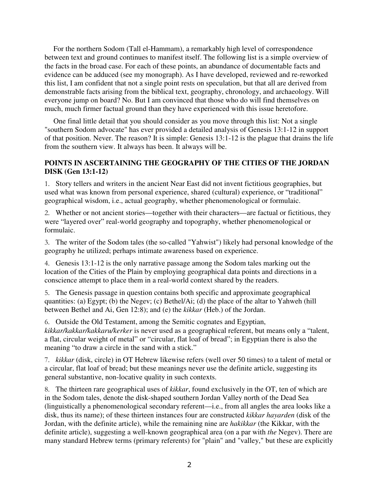For the northern Sodom (Tall el-Hammam), a remarkably high level of correspondence between text and ground continues to manifest itself. The following list is a simple overview of the facts in the broad case. For each of these points, an abundance of documentable facts and evidence can be adduced (see my monograph). As I have developed, reviewed and re-reworked this list, I am confident that not a single point rests on speculation, but that all are derived from demonstrable facts arising from the biblical text, geography, chronology, and archaeology. Will everyone jump on board? No. But I am convinced that those who do will find themselves on much, much firmer factual ground than they have experienced with this issue heretofore.

One final little detail that you should consider as you move through this list: Not a single "southern Sodom advocate" has ever provided a detailed analysis of Genesis 13:1-12 in support of that position. Never. The reason? It is simple: Genesis 13:1-12 is the plague that drains the life from the southern view. It always has been. It always will be.

### **POINTS IN ASCERTAINING THE GEOGRAPHY OF THE CITIES OF THE JORDAN DISK (Gen 13:1-12)**

1. Story tellers and writers in the ancient Near East did not invent fictitious geographies, but used what was known from personal experience, shared (cultural) experience, or "traditional" geographical wisdom, i.e., actual geography, whether phenomenological or formulaic.

2. Whether or not ancient stories—together with their characters—are factual or fictitious, they were "layered over" real-world geography and topography, whether phenomenological or formulaic.

3. The writer of the Sodom tales (the so-called "Yahwist") likely had personal knowledge of the geography he utilized; perhaps intimate awareness based on experience.

4. Genesis 13:1-12 is the only narrative passage among the Sodom tales marking out the location of the Cities of the Plain by employing geographical data points and directions in a conscience attempt to place them in a real-world context shared by the readers.

5. The Genesis passage in question contains both specific and approximate geographical quantities: (a) Egypt; (b) the Negev; (c) Bethel/Ai; (d) the place of the altar to Yahweh (hill between Bethel and Ai, Gen 12:8); and (e) the *kikkar* (Heb.) of the Jordan.

6. Outside the Old Testament, among the Semitic cognates and Egyptian, *kikkar/kakkar/kakkaru/kerker* is never used as a geographical referent, but means only a "talent, a flat, circular weight of metal" or "circular, flat loaf of bread"; in Egyptian there is also the meaning "to draw a circle in the sand with a stick."

7. *kikkar* (disk, circle) in OT Hebrew likewise refers (well over 50 times) to a talent of metal or a circular, flat loaf of bread; but these meanings never use the definite article, suggesting its general substantive, non-locative quality in such contexts.

8. The thirteen rare geographical uses of *kikkar*, found exclusively in the OT, ten of which are in the Sodom tales, denote the disk-shaped southern Jordan Valley north of the Dead Sea (linguistically a phenomenological secondary referent—i.e., from all angles the area looks like a disk, thus its name); of these thirteen instances four are constructed *kikkar hayarden* (disk of the Jordan, with the definite article), while the remaining nine are *hakikkar* (the Kikkar, with the definite article), suggesting a well-known geographical area (on a par with *the* Negev). There are many standard Hebrew terms (primary referents) for "plain" and "valley," but these are explicitly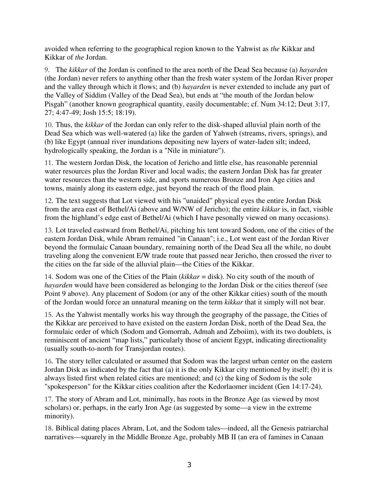avoided when referring to the geographical region known to the Yahwist as *the* Kikkar and Kikkar of *the* Jordan.

9. The *kikkar* of the Jordan is confined to the area north of the Dead Sea because (a) *hayarden* (the Jordan) never refers to anything other than the fresh water system of the Jordan River proper and the valley through which it flows; and (b) *hayarden* is never extended to include any part of the Valley of Siddim (Valley of the Dead Sea), but ends at "the mouth of the Jordan below Pisgah" (another known geographical quantity, easily documentable; cf. Num 34:12; Deut 3:17, 27; 4:47-49; Josh 15:5; 18:19).

10. Thus, the *kikkar* of the Jordan can only refer to the disk-shaped alluvial plain north of the Dead Sea which was well-watered (a) like the garden of Yahweh (streams, rivers, springs), and (b) like Egypt (annual river inundations depositing new layers of water-laden silt; indeed, hydrologically speaking, the Jordan is a "Nile in miniature").

11. The western Jordan Disk, the location of Jericho and little else, has reasonable perennial water resources plus the Jordan River and local wadis; the eastern Jordan Disk has far greater water resources than the western side, and sports numerous Bronze and Iron Age cities and towns, mainly along its eastern edge, just beyond the reach of the flood plain.

12. The text suggests that Lot viewed with his "unaided" physical eyes the entire Jordan Disk from the area east of Bethel/Ai (above and W/NW of Jericho); the entire *kikkar* is, in fact, visible from the highland's edge east of Bethel/Ai (which I have pesonally viewed on many occasions).

13. Lot traveled eastward from Bethel/Ai, pitching his tent toward Sodom, one of the cities of the eastern Jordan Disk, while Abram remained "in Canaan"; i.e., Lot went east of the Jordan River beyond the formulaic Canaan boundary, remaining north of the Dead Sea all the while, no doubt traveling along the convenient E/W trade route that passed near Jericho, then crossed the river to the cities on the far side of the alluvial plain—the Cities of the Kikkar.

14. Sodom was one of the Cities of the Plain (*kikkar* = disk). No city south of the mouth of *hayarden* would have been considered as belonging to the Jordan Disk or the cities thereof (see Point 9 above). Any placement of Sodom (or any of the other Kikkar cities) south of the mouth of the Jordan would force an unnatural meaning on the term *kikkar* that it simply will not bear.

15. As the Yahwist mentally works his way through the geography of the passage, the Cities of the Kikkar are perceived to have existed on the eastern Jordan Disk, north of the Dead Sea, the formulaic order of which (Sodom and Gomorrah, Admah and Zeboiim), with its two doublets, is reminiscent of ancient "map lists," particularly those of ancient Egypt, indicating directionality (usually south-to-north for Transjordan routes).

16. The story teller calculated or assumed that Sodom was the largest urban center on the eastern Jordan Disk as indicated by the fact that (a) it is the only Kikkar city mentioned by itself; (b) it is always listed first when related cities are mentioned; and (c) the king of Sodom is the sole "spokesperson" for the Kikkar cities coalition after the Kedorlaomer incident (Gen 14:17-24).

17. The story of Abram and Lot, minimally, has roots in the Bronze Age (as viewed by most scholars) or, perhaps, in the early Iron Age (as suggested by some—a view in the extreme minority).

18. Biblical dating places Abram, Lot, and the Sodom tales—indeed, all the Genesis patriarchal narratives—squarely in the Middle Bronze Age, probably MB II (an era of famines in Canaan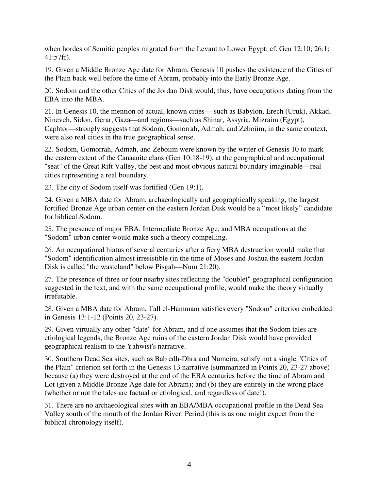when hordes of Semitic peoples migrated from the Levant to Lower Egypt; cf. Gen 12:10; 26:1; 41:57ff).

19. Given a Middle Bronze Age date for Abram, Genesis 10 pushes the existence of the Cities of the Plain back well before the time of Abram, probably into the Early Bronze Age.

20. Sodom and the other Cities of the Jordan Disk would, thus, have occupations dating from the EBA into the MBA.

21. In Genesis 10, the mention of actual, known cities— such as Babylon, Erech (Uruk), Akkad, Nineveh, Sidon, Gerar, Gaza—and regions—such as Shinar, Assyria, Mizraim (Egypt), Caphtor—strongly suggests that Sodom, Gomorrah, Admah, and Zeboiim, in the same context, were also real cities in the true geographical sense.

22. Sodom, Gomorrah, Admah, and Zeboiim were known by the writer of Genesis 10 to mark the eastern extent of the Canaanite clans (Gen 10:18-19), at the geographical and occupational "seat" of the Great Rift Valley, the best and most obvious natural boundary imaginable—real cities representing a real boundary.

23. The city of Sodom itself was fortified (Gen 19:1).

24. Given a MBA date for Abram, archaeologically and geographically speaking, the largest fortified Bronze Age urban center on the eastern Jordan Disk would be a "most likely" candidate for biblical Sodom.

25. The presence of major EBA, Intermediate Bronze Age, and MBA occupations at the "Sodom" urban center would make such a theory compelling.

26. An occupational hiatus of several centuries after a fiery MBA destruction would make that "Sodom" identification almost irresistible (in the time of Moses and Joshua the eastern Jordan Disk is called "the wasteland" below Pisgah—Num 21:20).

27. The presence of three or four nearby sites reflecting the "doublet" geographical configuration suggested in the text, and with the same occupational profile, would make the theory virtually irrefutable.

28. Given a MBA date for Abram, Tall el-Hammam satisfies every "Sodom" criterion embedded in Genesis 13:1-12 (Points 20, 23-27).

29. Given virtually any other "date" for Abram, and if one assumes that the Sodom tales are etiological legends, the Bronze Age ruins of the eastern Jordan Disk would have provided geographical realism to the Yahwist's narrative.

30. Southern Dead Sea sites, such as Bab edh-Dhra and Numeira, satisfy not a single "Cities of the Plain" criterion set forth in the Genesis 13 narrative (summarized in Points 20, 23-27 above) because (a) they were destroyed at the end of the EBA centuries before the time of Abram and Lot (given a Middle Bronze Age date for Abram); and (b) they are entirely in the wrong place (whether or not the tales are factual or etiological, and regardless of date!).

31. There are no archaeological sites with an EBA/MBA occupational profile in the Dead Sea Valley south of the mouth of the Jordan River. Period (this is as one might expect from the biblical chronology itself).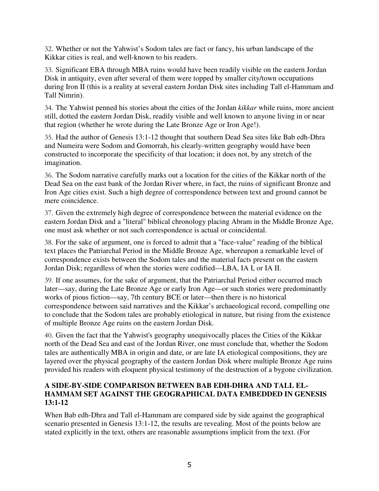32. Whether or not the Yahwist's Sodom tales are fact or fancy, his urban landscape of the Kikkar cities is real, and well-known to his readers.

33. Significant EBA through MBA ruins would have been readily visible on the eastern Jordan Disk in antiquity, even after several of them were topped by smaller city/town occupations during Iron II (this is a reality at several eastern Jordan Disk sites including Tall el-Hammam and Tall Nimrin).

34. The Yahwist penned his stories about the cities of the Jordan *kikkar* while ruins, more ancient still, dotted the eastern Jordan Disk, readily visible and well known to anyone living in or near that region (whether he wrote during the Late Bronze Age or Iron Age!).

35. Had the author of Genesis 13:1-12 thought that southern Dead Sea sites like Bab edh-Dhra and Numeira were Sodom and Gomorrah, his clearly-written geography would have been constructed to incorporate the specificity of that location; it does not, by any stretch of the imagination.

36. The Sodom narrative carefully marks out a location for the cities of the Kikkar north of the Dead Sea on the east bank of the Jordan River where, in fact, the ruins of significant Bronze and Iron Age cities exist. Such a high degree of correspondence between text and ground cannot be mere coincidence.

37. Given the extremely high degree of correspondence between the material evidence on the eastern Jordan Disk and a "literal" biblical chronology placing Abram in the Middle Bronze Age, one must ask whether or not such correspondence is actual or coincidental.

38. For the sake of argument, one is forced to admit that a "face-value" reading of the biblical text places the Patriarchal Period in the Middle Bronze Age, whereupon a remarkable level of correspondence exists between the Sodom tales and the material facts present on the eastern Jordan Disk; regardless of when the stories were codified—LBA, IA I, or IA II.

39. If one assumes, for the sake of argument, that the Patriarchal Period either occurred much later—say, during the Late Bronze Age or early Iron Age—or such stories were predominantly works of pious fiction—say, 7th century BCE or later—then there is no historical correspondence between said narratives and the Kikkar's archaeological record, compelling one to conclude that the Sodom tales are probably etiological in nature, but rising from the existence of multiple Bronze Age ruins on the eastern Jordan Disk.

40. Given the fact that the Yahwist's geography unequivocally places the Cities of the Kikkar north of the Dead Sea and east of the Jordan River, one must conclude that, whether the Sodom tales are authentically MBA in origin and date, or are late IA etiological compositions, they are layered over the physical geography of the eastern Jordan Disk where multiple Bronze Age ruins provided his readers with eloquent physical testimony of the destruction of a bygone civilization.

### **A SIDE-BY-SIDE COMPARISON BETWEEN BAB EDH-DHRA AND TALL EL-HAMMAM SET AGAINST THE GEOGRAPHICAL DATA EMBEDDED IN GENESIS 13:1-12**

When Bab edh-Dhra and Tall el-Hammam are compared side by side against the geographical scenario presented in Genesis 13:1-12, the results are revealing. Most of the points below are stated explicitly in the text, others are reasonable assumptions implicit from the text. (For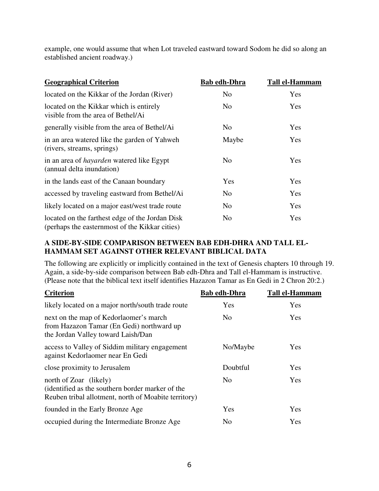example, one would assume that when Lot traveled eastward toward Sodom he did so along an established ancient roadway.)

| <b>Geographical Criterion</b>                                                                     | <b>Bab edh-Dhra</b> | <b>Tall el-Hammam</b> |
|---------------------------------------------------------------------------------------------------|---------------------|-----------------------|
| located on the Kikkar of the Jordan (River)                                                       | No                  | Yes                   |
| located on the Kikkar which is entirely<br>visible from the area of Bethel/Ai                     | No                  | Yes                   |
| generally visible from the area of Bethel/Ai                                                      | No.                 | <b>Yes</b>            |
| in an area watered like the garden of Yahweh<br>(rivers, streams, springs)                        | Maybe               | Yes                   |
| in an area of <i>hayarden</i> watered like Egypt<br>(annual delta inundation)                     | No.                 | Yes                   |
| in the lands east of the Canaan boundary                                                          | Yes                 | Yes                   |
| accessed by traveling eastward from Bethel/Ai                                                     | No                  | Yes                   |
| likely located on a major east/west trade route                                                   | No                  | Yes                   |
| located on the farthest edge of the Jordan Disk<br>(perhaps the easternmost of the Kikkar cities) | No                  | Yes                   |

### **A SIDE-BY-SIDE COMPARISON BETWEEN BAB EDH-DHRA AND TALL EL-HAMMAM SET AGAINST OTHER RELEVANT BIBLICAL DATA**

The following are explicitly or implicitly contained in the text of Genesis chapters 10 through 19. Again, a side-by-side comparison between Bab edh-Dhra and Tall el-Hammam is instructive. (Please note that the biblical text itself identifies Hazazon Tamar as En Gedi in 2 Chron 20:2.)

| <b>Criterion</b>                                                                                                                   | <b>Bab edh-Dhra</b> | <b>Tall el-Hammam</b> |
|------------------------------------------------------------------------------------------------------------------------------------|---------------------|-----------------------|
| likely located on a major north/south trade route                                                                                  | Yes                 | Yes                   |
| next on the map of Kedorlaomer's march<br>from Hazazon Tamar (En Gedi) northward up<br>the Jordan Valley toward Laish/Dan          | N <sub>0</sub>      | Yes                   |
| access to Valley of Siddim military engagement<br>against Kedorlaomer near En Gedi                                                 | No/Maybe            | Yes                   |
| close proximity to Jerusalem                                                                                                       | Doubtful            | Yes                   |
| north of Zoar (likely)<br>(identified as the southern border marker of the<br>Reuben tribal allotment, north of Moabite territory) | N <sub>0</sub>      | Yes                   |
| founded in the Early Bronze Age                                                                                                    | Yes                 | Yes                   |
| occupied during the Intermediate Bronze Age                                                                                        | N <sub>0</sub>      | Yes                   |